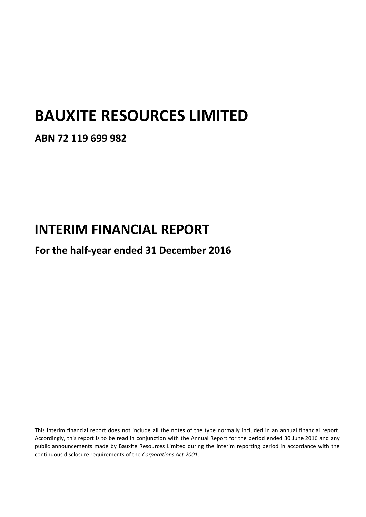# **BAUXITE RESOURCES LIMITED**

### **ABN 72 119 699 982**

# **INTERIM FINANCIAL REPORT**

## **For the half-year ended 31 December 2016**

This interim financial report does not include all the notes of the type normally included in an annual financial report. Accordingly, this report is to be read in conjunction with the Annual Report for the period ended 30 June 2016 and any public announcements made by Bauxite Resources Limited during the interim reporting period in accordance with the continuous disclosure requirements of the *Corporations Act 2001*.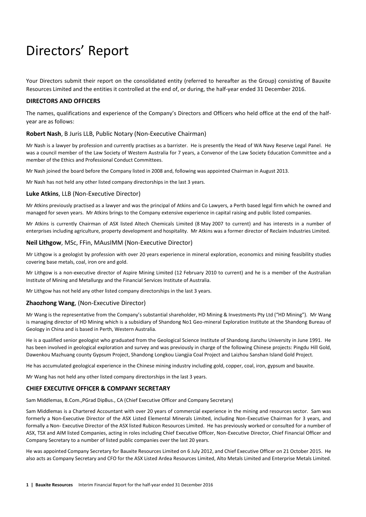# Directors' Report

Your Directors submit their report on the consolidated entity (referred to hereafter as the Group) consisting of Bauxite Resources Limited and the entities it controlled at the end of, or during, the half-year ended 31 December 2016.

#### **DIRECTORS AND OFFICERS**

The names, qualifications and experience of the Company's Directors and Officers who held office at the end of the halfyear are as follows:

#### **Robert Nash**, B Juris LLB, Public Notary (Non-Executive Chairman)

Mr Nash is a lawyer by profession and currently practises as a barrister. He is presently the Head of WA Navy Reserve Legal Panel. He was a council member of the Law Society of Western Australia for 7 years, a Convenor of the Law Society Education Committee and a member of the Ethics and Professional Conduct Committees.

Mr Nash joined the board before the Company listed in 2008 and, following was appointed Chairman in August 2013.

Mr Nash has not held any other listed company directorships in the last 3 years.

#### **Luke Atkins**, LLB (Non-Executive Director)

Mr Atkins previously practised as a lawyer and was the principal of Atkins and Co Lawyers, a Perth based legal firm which he owned and managed for seven years. Mr Atkins brings to the Company extensive experience in capital raising and public listed companies.

Mr Atkins is currently Chairman of ASX listed Altech Chemicals Limited (8 May 2007 to current) and has interests in a number of enterprises including agriculture, property development and hospitality. Mr Atkins was a former director of Reclaim Industries Limited.

#### **Neil Lithgow**, MSc, FFin, MAusIMM (Non-Executive Director)

Mr Lithgow is a geologist by profession with over 20 years experience in mineral exploration, economics and mining feasibility studies covering base metals, coal, iron ore and gold.

Mr Lithgow is a non-executive director of Aspire Mining Limited (12 February 2010 to current) and he is a member of the Australian Institute of Mining and Metallurgy and the Financial Services Institute of Australia.

Mr Lithgow has not held any other listed company directorships in the last 3 years.

#### **Zhaozhong Wang**, (Non-Executive Director)

Mr Wang is the representative from the Company's substantial shareholder, HD Mining & Investments Pty Ltd ("HD Mining"). Mr Wang is managing director of HD Mining which is a subsidiary of Shandong No1 Geo-mineral Exploration Institute at the Shandong Bureau of Geology in China and is based in Perth, Western Australia.

He is a qualified senior geologist who graduated from the Geological Science Institute of Shandong Jianzhu University in June 1991. He has been involved in geological exploration and survey and was previously in charge of the following Chinese projects: Pingdu Hill Gold, Dawenkou Mazhuang county Gypsum Project, Shandong Longkou Liangjia Coal Project and Laizhou Sanshan Island Gold Project.

He has accumulated geological experience in the Chinese mining industry including gold, copper, coal, iron, gypsum and bauxite.

Mr Wang has not held any other listed company directorships in the last 3 years.

#### **CHIEF EXECUTIVE OFFICER & COMPANY SECRETARY**

Sam Middlemas, B.Com.,PGrad DipBus., CA (Chief Executive Officer and Company Secretary)

Sam Middlemas is a Chartered Accountant with over 20 years of commercial experience in the mining and resources sector. Sam was formerly a Non-Executive Director of the ASX Listed Elemental Minerals Limited, including Non-Executive Chairman for 3 years, and formally a Non- Executive Director of the ASX listed Rubicon Resources Limited. He has previously worked or consulted for a number of ASX, TSX and AIM listed Companies, acting in roles including Chief Executive Officer, Non-Executive Director, Chief Financial Officer and Company Secretary to a number of listed public companies over the last 20 years.

He was appointed Company Secretary for Bauxite Resources Limited on 6 July 2012, and Chief Executive Officer on 21 October 2015. He also acts as Company Secretary and CFO for the ASX Listed Ardea Resources Limited, Alto Metals Limited and Enterprise Metals Limited.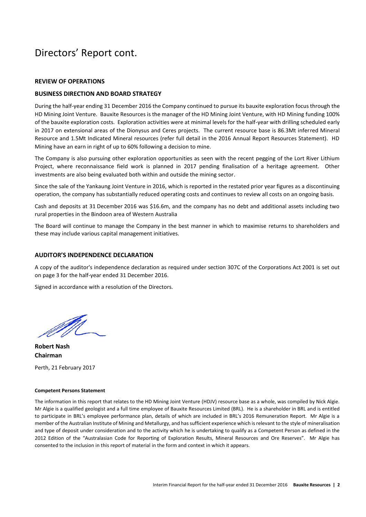## Directors' Report cont.

#### **REVIEW OF OPERATIONS**

#### **BUSINESS DIRECTION AND BOARD STRATEGY**

During the half-year ending 31 December 2016 the Company continued to pursue its bauxite exploration focus through the HD Mining Joint Venture. Bauxite Resources is the manager of the HD Mining Joint Venture, with HD Mining funding 100% of the bauxite exploration costs. Exploration activities were at minimal levels for the half-year with drilling scheduled early in 2017 on extensional areas of the Dionysus and Ceres projects. The current resource base is 86.3Mt inferred Mineral Resource and 1.5Mt Indicated Mineral resources (refer full detail in the 2016 Annual Report Resources Statement). HD Mining have an earn in right of up to 60% following a decision to mine.

The Company is also pursuing other exploration opportunities as seen with the recent pegging of the Lort River Lithium Project, where reconnaissance field work is planned in 2017 pending finalisation of a heritage agreement. Other investments are also being evaluated both within and outside the mining sector.

Since the sale of the Yankaung Joint Venture in 2016, which is reported in the restated prior year figures as a discontinuing operation, the company has substantially reduced operating costs and continues to review all costs on an ongoing basis.

Cash and deposits at 31 December 2016 was \$16.6m, and the company has no debt and additional assets including two rural properties in the Bindoon area of Western Australia

The Board will continue to manage the Company in the best manner in which to maximise returns to shareholders and these may include various capital management initiatives.

#### **AUDITOR'S INDEPENDENCE DECLARATION**

A copy of the auditor's independence declaration as required under section 307C of the Corporations Act 2001 is set out on page 3 for the half-year ended 31 December 2016.

Signed in accordance with a resolution of the Directors.

**Robert Nash Chairman**

Perth, 21 February 2017

#### **Competent Persons Statement**

The information in this report that relates to the HD Mining Joint Venture (HDJV) resource base as a whole, was compiled by Nick Algie. Mr Algie is a qualified geologist and a full time employee of Bauxite Resources Limited (BRL). He is a shareholder in BRL and is entitled to participate in BRL's employee performance plan, details of which are included in BRL's 2016 Remuneration Report. Mr Algie is a member of the Australian Institute of Mining and Metallurgy, and has sufficient experience which is relevant to the style of mineralisation and type of deposit under consideration and to the activity which he is undertaking to qualify as a Competent Person as defined in the 2012 Edition of the "Australasian Code for Reporting of Exploration Results, Mineral Resources and Ore Reserves". Mr Algie has consented to the inclusion in this report of material in the form and context in which it appears.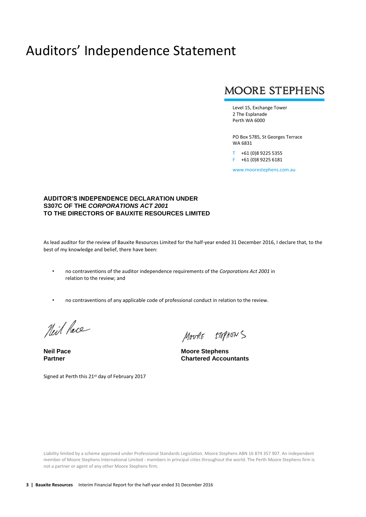## Auditors' Independence Statement

### **MOORE STEPHENS**

Level 15, Exchange Tower 2 The Esplanade Perth WA 6000

PO Box 5785, St Georges Terrace WA 6831

T +61 (0)8 9225 5355 F +61 (0)8 9225 6181

www.moorestephens.com.au

#### **AUDITOR'S INDEPENDENCE DECLARATION UNDER S307C OF THE** *CORPORATIONS ACT 2001*  **TO THE DIRECTORS OF BAUXITE RESOURCES LIMITED**

As lead auditor for the review of Bauxite Resources Limited for the half-year ended 31 December 2016, I declare that, to the best of my knowledge and belief, there have been:

- no contraventions of the auditor independence requirements of the *Corporations Act 2001* in relation to the review; and
- no contraventions of any applicable code of professional conduct in relation to the review.

Neil Pace

MOURE STEPHENS

**Neil Pace Moore Stephens Partner Chartered Accountants**

Signed at Perth this 21st day of February 2017

Liability limited by a scheme approved under Professional Standards Legislation. Moore Stephens ABN 16 874 357 907. An independent member of Moore Stephens International Limited - members in principal cities throughout the world. The Perth Moore Stephens firm is not a partner or agent of any other Moore Stephens firm.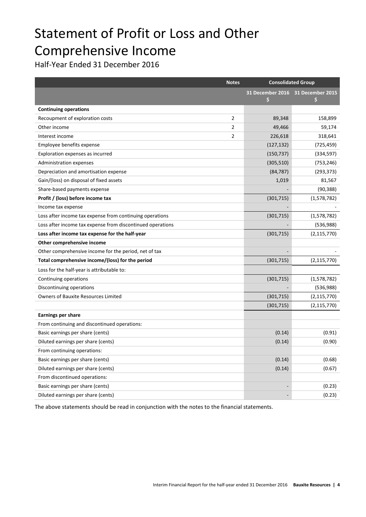# Statement of Profit or Loss and Other Comprehensive Income

Half-Year Ended 31 December 2016

|                                                            | <b>Notes</b>   | <b>Consolidated Group</b> |                                         |
|------------------------------------------------------------|----------------|---------------------------|-----------------------------------------|
|                                                            |                | \$                        | 31 December 2016 31 December 2015<br>\$ |
| <b>Continuing operations</b>                               |                |                           |                                         |
| Recoupment of exploration costs                            | 2              | 89,348                    | 158,899                                 |
| Other income                                               | $\overline{2}$ | 49,466                    | 59,174                                  |
| Interest income                                            | $\overline{2}$ | 226,618                   | 318,641                                 |
| Employee benefits expense                                  |                | (127, 132)                | (725, 459)                              |
| Exploration expenses as incurred                           |                | (150, 737)                | (334, 597)                              |
| Administration expenses                                    |                | (305, 510)                | (753, 246)                              |
| Depreciation and amortisation expense                      |                | (84, 787)                 | (293, 373)                              |
| Gain/(loss) on disposal of fixed assets                    |                | 1,019                     | 81,567                                  |
| Share-based payments expense                               |                |                           | (90, 388)                               |
| Profit / (loss) before income tax                          |                | (301, 715)                | (1,578,782)                             |
| Income tax expense                                         |                |                           |                                         |
| Loss after income tax expense from continuing operations   |                | (301, 715)                | (1,578,782)                             |
| Loss after income tax expense from discontinued operations |                |                           | (536,988)                               |
| Loss after income tax expense for the half-year            |                | (301, 715)                | (2, 115, 770)                           |
| Other comprehensive income                                 |                |                           |                                         |
| Other comprehensive income for the period, net of tax      |                |                           |                                         |
| Total comprehensive income/(loss) for the period           |                | (301, 715)                | (2, 115, 770)                           |
| Loss for the half-year is attributable to:                 |                |                           |                                         |
| Continuing operations                                      |                | (301, 715)                | (1,578,782)                             |
| Discontinuing operations                                   |                |                           | (536,988)                               |
| <b>Owners of Bauxite Resources Limited</b>                 |                | (301, 715)                | (2, 115, 770)                           |
|                                                            |                | (301, 715)                | (2, 115, 770)                           |
| Earnings per share                                         |                |                           |                                         |
| From continuing and discontinued operations:               |                |                           |                                         |
| Basic earnings per share (cents)                           |                | (0.14)                    | (0.91)                                  |
| Diluted earnings per share (cents)                         |                | (0.14)                    | (0.90)                                  |
| From continuing operations:                                |                |                           |                                         |
| Basic earnings per share (cents)                           |                | (0.14)                    | (0.68)                                  |
| Diluted earnings per share (cents)                         |                | (0.14)                    | (0.67)                                  |
| From discontinued operations:                              |                |                           |                                         |
| Basic earnings per share (cents)                           |                |                           | (0.23)                                  |
| Diluted earnings per share (cents)                         |                |                           | (0.23)                                  |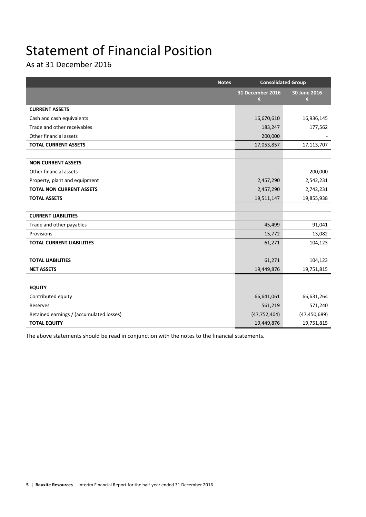# Statement of Financial Position

As at 31 December 2016

| <b>Notes</b>                             | <b>Consolidated Group</b> |                    |
|------------------------------------------|---------------------------|--------------------|
|                                          | 31 December 2016<br>\$    | 30 June 2016<br>\$ |
| <b>CURRENT ASSETS</b>                    |                           |                    |
| Cash and cash equivalents                | 16,670,610                | 16,936,145         |
| Trade and other receivables              | 183,247                   | 177,562            |
| Other financial assets                   | 200,000                   |                    |
| <b>TOTAL CURRENT ASSETS</b>              | 17,053,857                | 17,113,707         |
|                                          |                           |                    |
| <b>NON CURRENT ASSETS</b>                |                           |                    |
| Other financial assets                   |                           | 200,000            |
| Property, plant and equipment            | 2,457,290                 | 2,542,231          |
| <b>TOTAL NON CURRENT ASSETS</b>          | 2,457,290                 | 2,742,231          |
| <b>TOTAL ASSETS</b>                      | 19,511,147                | 19,855,938         |
|                                          |                           |                    |
| <b>CURRENT LIABILITIES</b>               |                           |                    |
| Trade and other payables                 | 45,499                    | 91,041             |
| Provisions                               | 15,772                    | 13,082             |
| <b>TOTAL CURRENT LIABILITIES</b>         | 61,271                    | 104,123            |
|                                          |                           |                    |
| <b>TOTAL LIABILITIES</b>                 | 61,271                    | 104,123            |
| <b>NET ASSETS</b>                        | 19,449,876                | 19,751,815         |
|                                          |                           |                    |
| <b>EQUITY</b>                            |                           |                    |
| Contributed equity                       | 66,641,061                | 66,631,264         |
| Reserves                                 | 561,219                   | 571,240            |
| Retained earnings / (accumulated losses) | (47, 752, 404)            | (47, 450, 689)     |
| <b>TOTAL EQUITY</b>                      | 19,449,876                | 19,751,815         |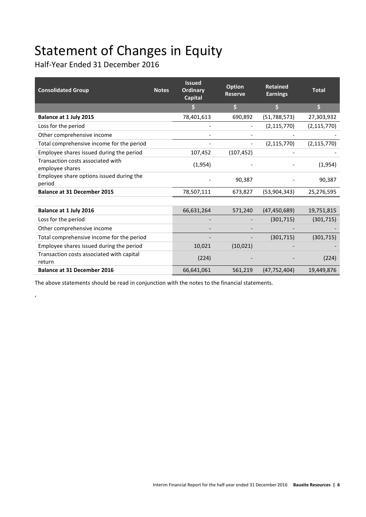# Statement of Changes in Equity

Half-Year Ended 31 December 2016

,

| <b>Consolidated Group</b>                            | <b>Notes</b> | <b>Issued</b><br><b>Ordinary</b><br><b>Capital</b> | <b>Option</b><br><b>Reserve</b> | <b>Retained</b><br><b>Earnings</b> | <b>Total</b>        |
|------------------------------------------------------|--------------|----------------------------------------------------|---------------------------------|------------------------------------|---------------------|
|                                                      |              |                                                    | $\mathsf{S}% _{T}$              | \$                                 | $\ddot{\mathsf{s}}$ |
| Balance at 1 July 2015                               |              | 78,401,613                                         | 690,892                         | (51, 788, 573)                     | 27,303,932          |
| Loss for the period                                  |              |                                                    |                                 | (2, 115, 770)                      | (2, 115, 770)       |
| Other comprehensive income                           |              |                                                    |                                 |                                    |                     |
| Total comprehensive income for the period            |              |                                                    |                                 | (2, 115, 770)                      | (2, 115, 770)       |
| Employee shares issued during the period             |              | 107,452                                            | (107, 452)                      |                                    |                     |
| Transaction costs associated with<br>employee shares |              | (1,954)                                            |                                 |                                    | (1,954)             |
| Employee share options issued during the<br>period   |              |                                                    | 90,387                          |                                    | 90,387              |
| <b>Balance at 31 December 2015</b>                   |              | 78,507,111                                         | 673,827                         | (53,904,343)                       | 25,276,595          |
|                                                      |              |                                                    |                                 |                                    |                     |
| Balance at 1 July 2016                               |              | 66,631,264                                         | 571,240                         | (47, 450, 689)                     | 19,751,815          |
| Loss for the period                                  |              |                                                    |                                 | (301, 715)                         | (301, 715)          |
| Other comprehensive income                           |              |                                                    |                                 |                                    |                     |
| Total comprehensive income for the period            |              |                                                    |                                 | (301, 715)                         | (301, 715)          |
| Employee shares issued during the period             |              | 10,021                                             | (10, 021)                       |                                    |                     |
| Transaction costs associated with capital<br>return  |              | (224)                                              |                                 |                                    | (224)               |
| <b>Balance at 31 December 2016</b>                   |              | 66,641,061                                         | 561,219                         | (47, 752, 404)                     | 19,449,876          |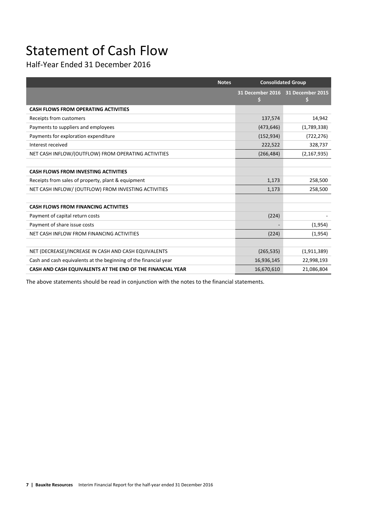# Statement of Cash Flow

Half-Year Ended 31 December 2016

| <b>Notes</b>                                                     | <b>Consolidated Group</b> |                                        |
|------------------------------------------------------------------|---------------------------|----------------------------------------|
|                                                                  | \$                        | 31 December 2016 31 December 2015<br>S |
| <b>CASH FLOWS FROM OPERATING ACTIVITIES</b>                      |                           |                                        |
| Receipts from customers                                          | 137,574                   | 14,942                                 |
| Payments to suppliers and employees                              | (473, 646)                | (1,789,338)                            |
| Payments for exploration expenditure                             | (152, 934)                | (722, 276)                             |
| Interest received                                                | 222,522                   | 328,737                                |
| NET CASH INFLOW/(OUTFLOW) FROM OPERATING ACTIVITIES              | (266, 484)                | (2, 167, 935)                          |
|                                                                  |                           |                                        |
| <b>CASH FLOWS FROM INVESTING ACTIVITIES</b>                      |                           |                                        |
| Receipts from sales of property, plant & equipment               | 1,173                     | 258,500                                |
| NET CASH INFLOW/ (OUTFLOW) FROM INVESTING ACTIVITIES             | 1,173                     | 258,500                                |
|                                                                  |                           |                                        |
| <b>CASH FLOWS FROM FINANCING ACTIVITIES</b>                      |                           |                                        |
| Payment of capital return costs                                  | (224)                     |                                        |
| Payment of share issue costs                                     |                           | (1,954)                                |
| NET CASH INFLOW FROM FINANCING ACTIVITIES                        | (224)                     | (1,954)                                |
|                                                                  |                           |                                        |
| NET (DECREASE)/INCREASE IN CASH AND CASH EQUIVALENTS             | (265, 535)                | (1,911,389)                            |
| Cash and cash equivalents at the beginning of the financial year | 16,936,145                | 22,998,193                             |
| CASH AND CASH EQUIVALENTS AT THE END OF THE FINANCIAL YEAR       | 16,670,610                | 21,086,804                             |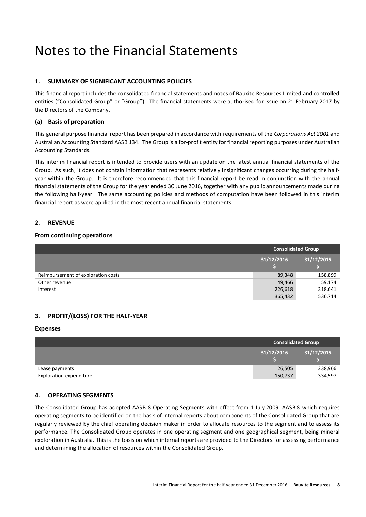## Notes to the Financial Statements

### **1. SUMMARY OF SIGNIFICANT ACCOUNTING POLICIES**

This financial report includes the consolidated financial statements and notes of Bauxite Resources Limited and controlled entities ("Consolidated Group" or "Group"). The financial statements were authorised for issue on 21 February 2017 by the Directors of the Company.

### **(a) Basis of preparation**

This general purpose financial report has been prepared in accordance with requirements of the *Corporations Act 2001* and Australian Accounting Standard AASB 134. The Group is a for-profit entity for financial reporting purposes under Australian Accounting Standards.

This interim financial report is intended to provide users with an update on the latest annual financial statements of the Group. As such, it does not contain information that represents relatively insignificant changes occurring during the halfyear within the Group. It is therefore recommended that this financial report be read in conjunction with the annual financial statements of the Group for the year ended 30 June 2016, together with any public announcements made during the following half-year. The same accounting policies and methods of computation have been followed in this interim financial report as were applied in the most recent annual financial statements.

### **2. REVENUE**

### **From continuing operations**

|                                    | <b>Consolidated Group</b> |            |  |
|------------------------------------|---------------------------|------------|--|
|                                    | 31/12/2016                | 31/12/2015 |  |
| Reimbursement of exploration costs | 89,348                    | 158,899    |  |
| Other revenue                      | 49,466                    | 59,174     |  |
| Interest                           | 226,618                   | 318,641    |  |
|                                    | 365,432                   | 536,714    |  |

### **3. PROFIT/(LOSS) FOR THE HALF-YEAR**

### **Expenses**

|                                | <b>Consolidated Group</b> |            |  |
|--------------------------------|---------------------------|------------|--|
|                                | 31/12/2016                | 31/12/2015 |  |
| Lease payments                 | 26,505                    | 238,966    |  |
| <b>Exploration expenditure</b> | 150,737                   | 334,597    |  |

### **4. OPERATING SEGMENTS**

The Consolidated Group has adopted AASB 8 Operating Segments with effect from 1 July 2009. AASB 8 which requires operating segments to be identified on the basis of internal reports about components of the Consolidated Group that are regularly reviewed by the chief operating decision maker in order to allocate resources to the segment and to assess its performance. The Consolidated Group operates in one operating segment and one geographical segment, being mineral exploration in Australia. This is the basis on which internal reports are provided to the Directors for assessing performance and determining the allocation of resources within the Consolidated Group.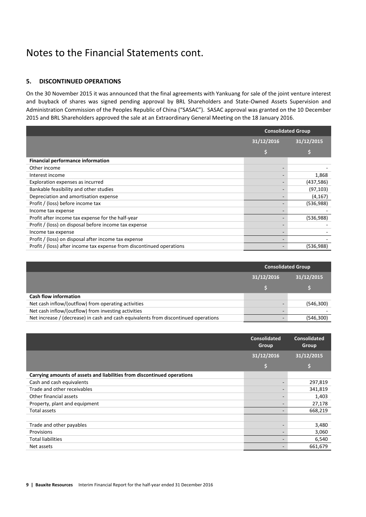## Notes to the Financial Statements cont.

### **5. DISCONTINUED OPERATIONS**

On the 30 November 2015 it was announced that the final agreements with Yankuang for sale of the joint venture interest and buyback of shares was signed pending approval by BRL Shareholders and State-Owned Assets Supervision and Administration Commission of the Peoples Republic of China ("SASAC"). SASAC approval was granted on the 10 December 2015 and BRL Shareholders approved the sale at an Extraordinary General Meeting on the 18 January 2016.

|                                                                       | <b>Consolidated Group</b> |            |
|-----------------------------------------------------------------------|---------------------------|------------|
|                                                                       | 31/12/2016                | 31/12/2015 |
|                                                                       |                           |            |
| <b>Financial performance information</b>                              |                           |            |
| Other income                                                          |                           |            |
| Interest income                                                       |                           | 1,868      |
| Exploration expenses as incurred                                      |                           | (437,586)  |
| Bankable feasibility and other studies                                |                           | (97, 103)  |
| Depreciation and amortisation expense                                 |                           | (4, 167)   |
| Profit / (loss) before income tax                                     |                           | (536,988)  |
| Income tax expense                                                    |                           |            |
| Profit after income tax expense for the half-year                     |                           | (536,988)  |
| Profit / (loss) on disposal before income tax expense                 |                           |            |
| Income tax expense                                                    |                           |            |
| Profit / (loss) on disposal after income tax expense                  |                           |            |
| Profit / (loss) after income tax expense from discontinued operations |                           | (536,988)  |

|                                                                                     | <b>Consolidated Group</b> |            |  |
|-------------------------------------------------------------------------------------|---------------------------|------------|--|
|                                                                                     | 31/12/2016                | 31/12/2015 |  |
|                                                                                     |                           |            |  |
| <b>Cash flow information</b>                                                        |                           |            |  |
| Net cash inflow/(outflow) from operating activities                                 |                           | (546,300)  |  |
| Net cash inflow/(outflow) from investing activities                                 |                           |            |  |
| Net increase / (decrease) in cash and cash equivalents from discontinued operations |                           | (546,300)  |  |

|                                                                         | <b>Consolidated</b><br>Group | <b>Consolidated</b><br>Group |
|-------------------------------------------------------------------------|------------------------------|------------------------------|
|                                                                         | 31/12/2016                   | 31/12/2015                   |
|                                                                         | \$                           |                              |
| Carrying amounts of assets and liabilities from discontinued operations |                              |                              |
| Cash and cash equivalents                                               |                              | 297,819                      |
| Trade and other receivables                                             |                              | 341,819                      |
| Other financial assets                                                  |                              | 1,403                        |
| Property, plant and equipment                                           |                              | 27,178                       |
| Total assets                                                            |                              | 668,219                      |
|                                                                         |                              |                              |
| Trade and other payables                                                |                              | 3,480                        |
| Provisions                                                              |                              | 3,060                        |
| <b>Total liabilities</b>                                                |                              | 6,540                        |
| Net assets                                                              |                              | 661,679                      |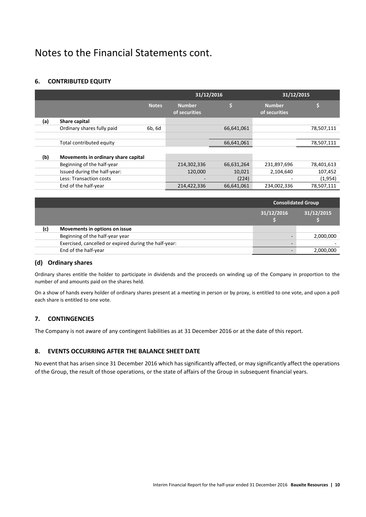## Notes to the Financial Statements cont.

### **6. CONTRIBUTED EQUITY**

|     |                                     |        | 31/12/2016                     |            | 31/12/2015                     |            |
|-----|-------------------------------------|--------|--------------------------------|------------|--------------------------------|------------|
|     |                                     | Notes  | <b>Number</b><br>of securities | Ś          | <b>Number</b><br>of securities | S.         |
| (a) | Share capital                       |        |                                |            |                                |            |
|     | Ordinary shares fully paid          | 6b, 6d |                                | 66,641,061 |                                | 78,507,111 |
|     |                                     |        |                                |            |                                |            |
|     | Total contributed equity            |        |                                | 66,641,061 |                                | 78,507,111 |
|     |                                     |        |                                |            |                                |            |
| (b) | Movements in ordinary share capital |        |                                |            |                                |            |
|     | Beginning of the half-year          |        | 214,302,336                    | 66,631,264 | 231,897,696                    | 78,401,613 |
|     | Issued during the half-year:        |        | 120.000                        | 10,021     | 2,104,640                      | 107,452    |
|     | Less: Transaction costs             |        |                                | (224)      |                                | (1,954)    |
|     | End of the half-year                |        | 214,422,336                    | 66,641,061 | 234,002,336                    | 78,507,111 |

|     |                                                       | <b>Consolidated Group</b> |            |  |
|-----|-------------------------------------------------------|---------------------------|------------|--|
|     |                                                       | 31/12/2016                | 31/12/2015 |  |
| (c) | Movements in options on issue                         |                           |            |  |
|     | Beginning of the half-year year                       |                           | 2,000,000  |  |
|     | Exercised, cancelled or expired during the half-year: |                           |            |  |
|     | End of the half-year                                  |                           | 2,000,000  |  |

### **(d) Ordinary shares**

Ordinary shares entitle the holder to participate in dividends and the proceeds on winding up of the Company in proportion to the number of and amounts paid on the shares held.

On a show of hands every holder of ordinary shares present at a meeting in person or by proxy, is entitled to one vote, and upon a poll each share is entitled to one vote.

### **7. CONTINGENCIES**

The Company is not aware of any contingent liabilities as at 31 December 2016 or at the date of this report.

### **8. EVENTS OCCURRING AFTER THE BALANCE SHEET DATE**

No event that has arisen since 31 December 2016 which has significantly affected, or may significantly affect the operations of the Group, the result of those operations, or the state of affairs of the Group in subsequent financial years.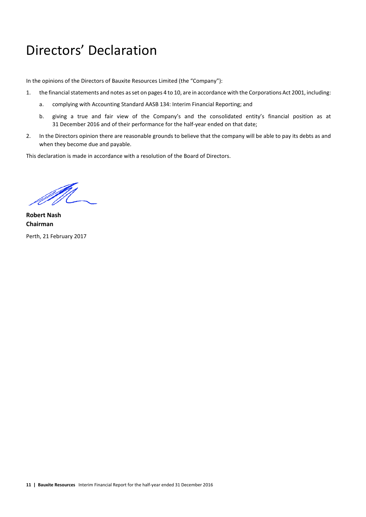## Directors' Declaration

In the opinions of the Directors of Bauxite Resources Limited (the "Company"):

- 1. the financial statements and notes as set on pages 4 to 10, are in accordance with the Corporations Act 2001, including:
	- a. complying with Accounting Standard AASB 134: Interim Financial Reporting; and
	- b. giving a true and fair view of the Company's and the consolidated entity's financial position as at 31 December 2016 and of their performance for the half-year ended on that date;
- 2. In the Directors opinion there are reasonable grounds to believe that the company will be able to pay its debts as and when they become due and payable.

This declaration is made in accordance with a resolution of the Board of Directors.

**Robert Nash Chairman** Perth, 21 February 2017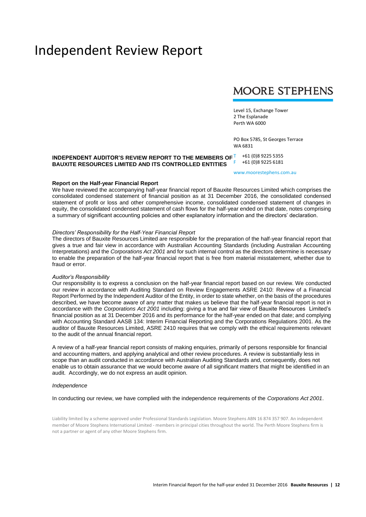## Independent Review Report

## **MOORE STEPHENS**

Level 15, Exchange Tower 2 The Esplanade Perth WA 6000

PO Box 5785, St Georges Terrace WA 6831

#### **INDEPENDENT AUDITOR'S REVIEW REPORT TO THE MEMBERS OF BAUXITE RESOURCES LIMITED AND ITS CONTROLLED ENTITIES** T +61 (0)8 9225 5355 F +61 (0)8 9225 6181

www.moorestephens.com.au

#### **Report on the Half-year Financial Report**

We have reviewed the accompanying half-year financial report of Bauxite Resources Limited which comprises the consolidated condensed statement of financial position as at 31 December 2016, the consolidated condensed statement of profit or loss and other comprehensive income, consolidated condensed statement of changes in equity, the consolidated condensed statement of cash flows for the half-year ended on that date, notes comprising a summary of significant accounting policies and other explanatory information and the directors' declaration.

#### *Directors' Responsibility for the Half-Year Financial Report*

The directors of Bauxite Resources Limited are responsible for the preparation of the half-year financial report that gives a true and fair view in accordance with Australian Accounting Standards (including Australian Accounting Interpretations) and the *Corporations Act 2001* and for such internal control as the directors determine is necessary to enable the preparation of the half-year financial report that is free from material misstatement, whether due to fraud or error.

#### *Auditor's Responsibility*

Our responsibility is to express a conclusion on the half-year financial report based on our review. We conducted our review in accordance with Auditing Standard on Review Engagements ASRE 2410: Review of a Financial Report Performed by the Independent Auditor of the Entity, in order to state whether, on the basis of the procedures described, we have become aware of any matter that makes us believe that the half-year financial report is not in accordance with the *Corporations Act 2001* including: giving a true and fair view of Bauxite Resources Limited's financial position as at 31 December 2016 and its performance for the half-year ended on that date; and complying with Accounting Standard AASB 134: Interim Financial Reporting and the Corporations Regulations 2001. As the auditor of Bauxite Resources Limited, ASRE 2410 requires that we comply with the ethical requirements relevant to the audit of the annual financial report.

A review of a half-year financial report consists of making enquiries, primarily of persons responsible for financial and accounting matters, and applying analytical and other review procedures. A review is substantially less in scope than an audit conducted in accordance with Australian Auditing Standards and, consequently, does not enable us to obtain assurance that we would become aware of all significant matters that might be identified in an audit. Accordingly, we do not express an audit opinion.

#### *Independence*

In conducting our review, we have complied with the independence requirements of the *Corporations Act 2001*.

Liability limited by a scheme approved under Professional Standards Legislation. Moore Stephens ABN 16 874 357 907. An independent member of Moore Stephens International Limited - members in principal cities throughout the world. The Perth Moore Stephens firm is not a partner or agent of any other Moore Stephens firm.